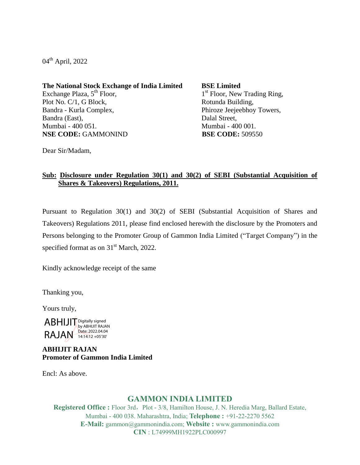04<sup>th</sup> April, 2022

**The National Stock Exchange of India Limited** Exchange Plaza,  $5<sup>th</sup>$  Floor, Plot No. C/1, G Block, Bandra - Kurla Complex, Bandra (East), Mumbai - 400 051. **NSE CODE:** GAMMONIND **BSE CODE:** 509550

**BSE Limited** 1<sup>st</sup> Floor, New Trading Ring, Rotunda Building, Phiroze Jeejeebhoy Towers, Dalal Street, Mumbai - 400 001.

Dear Sir/Madam,

## **Sub: Disclosure under Regulation 30(1) and 30(2) of SEBI (Substantial Acquisition of Shares & Takeovers) Regulations, 2011.**

Pursuant to Regulation 30(1) and 30(2) of SEBI (Substantial Acquisition of Shares and Takeovers) Regulations 2011, please find enclosed herewith the disclosure by the Promoters and Persons belonging to the Promoter Group of Gammon India Limited ("Target Company") in the specified format as on  $31<sup>st</sup>$  March, 2022.

Kindly acknowledge receipt of the same

Thanking you,

Yours truly,

ABHIJIT Digitally signed RAJAN Date: 2022.04.04 by ABHIJIT RAJAN Date: 2022.04.04

## **ABHIJIT RAJAN Promoter of Gammon India Limited**

Encl: As above.

# **GAMMON INDIA LIMITED**

**Registered Office :** Floor 3rd, Plot - 3/8, Hamilton House, J. N. Heredia Marg, Ballard Estate, Mumbai - 400 038. Maharashtra, India; **Telephone :** +91-22-2270 5562 **E-Mail:** gammon@gammonindia.com; **Website :** www.gammonindia.com **CIN** : L74999MH1922PLC000997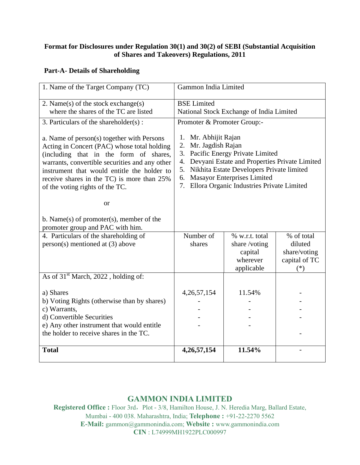## **Format for Disclosures under Regulation 30(1) and 30(2) of SEBI (Substantial Acquisition of Shares and Takeovers) Regulations, 2011**

## **Part-A- Details of Shareholding**

| 1. Name of the Target Company (TC)                                                                                                                                                                                                                                                                                                                                                                                                                                     | Gammon India Limited                                                                                                                                                                                                                                                                                         |                                                                     |                                                                 |
|------------------------------------------------------------------------------------------------------------------------------------------------------------------------------------------------------------------------------------------------------------------------------------------------------------------------------------------------------------------------------------------------------------------------------------------------------------------------|--------------------------------------------------------------------------------------------------------------------------------------------------------------------------------------------------------------------------------------------------------------------------------------------------------------|---------------------------------------------------------------------|-----------------------------------------------------------------|
| 2. Name $(s)$ of the stock exchange $(s)$<br>where the shares of the TC are listed                                                                                                                                                                                                                                                                                                                                                                                     | <b>BSE</b> Limited<br>National Stock Exchange of India Limited                                                                                                                                                                                                                                               |                                                                     |                                                                 |
| 3. Particulars of the shareholder(s):<br>a. Name of person(s) together with Persons<br>Acting in Concert (PAC) whose total holding<br>(including that in the form of shares,<br>warrants, convertible securities and any other<br>instrument that would entitle the holder to<br>receive shares in the TC) is more than 25%<br>of the voting rights of the TC.<br><sub>or</sub><br>b. Name $(s)$ of promoter $(s)$ , member of the<br>promoter group and PAC with him. | Promoter & Promoter Group:-<br>1. Mr. Abhijit Rajan<br>2. Mr. Jagdish Rajan<br>3. Pacific Energy Private Limited<br>4. Devyani Estate and Properties Private Limited<br>Nikhita Estate Developers Private limited<br>5.<br>6. Masayor Enterprises Limited<br>Ellora Organic Industries Private Limited<br>7. |                                                                     |                                                                 |
| 4. Particulars of the shareholding of<br>$person(s)$ mentioned at (3) above                                                                                                                                                                                                                                                                                                                                                                                            | Number of<br>shares                                                                                                                                                                                                                                                                                          | % w.r.t. total<br>share/voting<br>capital<br>wherever<br>applicable | % of total<br>diluted<br>share/voting<br>capital of TC<br>$(*)$ |
| As of 31 <sup>st</sup> March, 2022, holding of:                                                                                                                                                                                                                                                                                                                                                                                                                        |                                                                                                                                                                                                                                                                                                              |                                                                     |                                                                 |
| a) Shares<br>b) Voting Rights (otherwise than by shares)<br>c) Warrants,<br>d) Convertible Securities<br>e) Any other instrument that would entitle<br>the holder to receive shares in the TC.                                                                                                                                                                                                                                                                         | 4,26,57,154                                                                                                                                                                                                                                                                                                  | 11.54%                                                              |                                                                 |
| <b>Total</b>                                                                                                                                                                                                                                                                                                                                                                                                                                                           | 4, 26, 57, 154                                                                                                                                                                                                                                                                                               | 11.54%                                                              |                                                                 |

# **GAMMON INDIA LIMITED**

Registered Office : Floor 3rd, Plot - 3/8, Hamilton House, J. N. Heredia Marg, Ballard Estate, Mumbai - 400 038. Maharashtra, India; **Telephone :** +91-22-2270 5562 **E-Mail:** gammon@gammonindia.com; **Website :** www.gammonindia.com **CIN** : L74999MH1922PLC000997